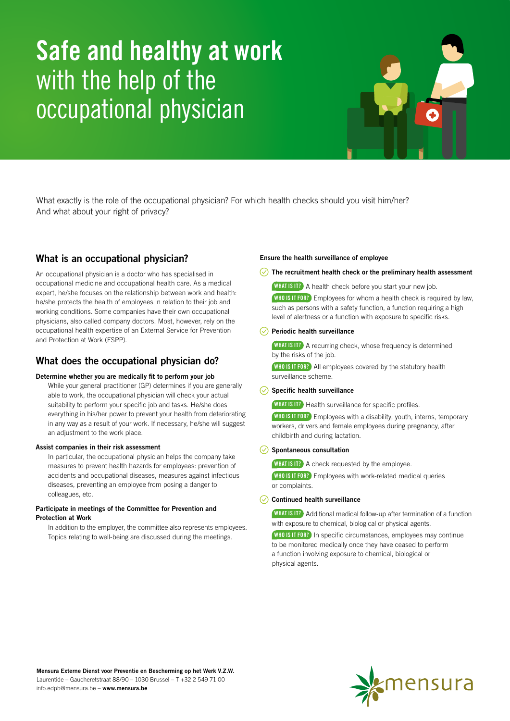# Safe and healthy at work with the help of the occupational physician

What exactly is the role of the occupational physician? For which health checks should you visit him/her? And what about your right of privacy?

# What is an occupational physician?

An occupational physician is a doctor who has specialised in occupational medicine and occupational health care. As a medical expert, he/she focuses on the relationship between work and health: he/she protects the health of employees in relation to their job and working conditions. Some companies have their own occupational physicians, also called company doctors. Most, however, rely on the occupational health expertise of an External Service for Prevention and Protection at Work (ESPP).

# What does the occupational physician do?

#### Determine whether you are medically fit to perform your job

While your general practitioner (GP) determines if you are generally able to work, the occupational physician will check your actual suitability to perform your specific job and tasks. He/she does everything in his/her power to prevent your health from deteriorating in any way as a result of your work. If necessary, he/she will suggest an adjustment to the work place.

#### Assist companies in their risk assessment

In particular, the occupational physician helps the company take measures to prevent health hazards for employees: prevention of accidents and occupational diseases, measures against infectious diseases, preventing an employee from posing a danger to colleagues, etc.

#### Participate in meetings of the Committee for Prevention and Protection at Work

In addition to the employer, the committee also represents employees. Topics relating to well-being are discussed during the meetings.

### Ensure the health surveillance of employee

 $\sqrt{ }$  The recruitment health check or the preliminary health assessment

WHAT IS IT? A health check before you start your new job.

WHO IS IT FOR? Employees for whom a health check is required by law. such as persons with a safety function, a function requiring a high level of alertness or a function with exposure to specific risks.

## $\oslash$  Periodic health surveillance

WHAT IS IT? A recurring check, whose frequency is determined by the risks of the job.

WHO IS IT FOR? All employees covered by the statutory health surveillance scheme.

## $\heartsuit$  Specific health surveillance

WHAT IS IT? Health surveillance for specific profiles.

WHO IS IT FOR? Employees with a disability, youth, interns, temporary workers, drivers and female employees during pregnancy, after childbirth and during lactation.

#### $\oslash$  Spontaneous consultation

WHAT IS IT? A check requested by the employee. WHO IS IT FOR? Employees with work-related medical queries or complaints.

#### $\oslash$  Continued health surveillance

WHAT IS IT? Additional medical follow-up after termination of a function with exposure to chemical, biological or physical agents.

**WHO IS IT FOR?** In specific circumstances, employees may continue to be monitored medically once they have ceased to perform a function involving exposure to chemical, biological or physical agents.